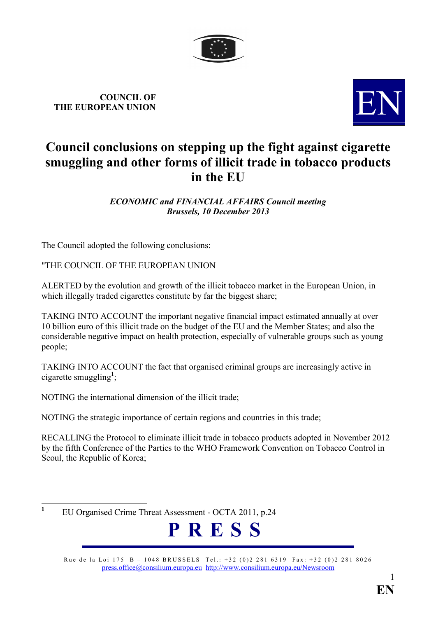

**COUNCIL OF THE EUROPEAN UNION** 



# **Council conclusions on stepping up the fight against cigarette smuggling and other forms of illicit trade in tobacco products in the EU**

*ECOOMIC and FIACIAL AFFAIRS Council meeting Brussels, 10 December 2013* 

The Council adopted the following conclusions:

"THE COUNCIL OF THE EUROPEAN UNION

ALERTED by the evolution and growth of the illicit tobacco market in the European Union, in which illegally traded cigarettes constitute by far the biggest share;

TAKING INTO ACCOUNT the important negative financial impact estimated annually at over 10 billion euro of this illicit trade on the budget of the EU and the Member States; and also the considerable negative impact on health protection, especially of vulnerable groups such as young people;

TAKING INTO ACCOUNT the fact that organised criminal groups are increasingly active in cigarette smuggling**<sup>1</sup>** ;

NOTING the international dimension of the illicit trade;

NOTING the strategic importance of certain regions and countries in this trade;

RECALLING the Protocol to eliminate illicit trade in tobacco products adopted in November 2012 by the fifth Conference of the Parties to the WHO Framework Convention on Tobacco Control in Seoul, the Republic of Korea;

 **1** EU Organised Crime Threat Assessment - OCTA 2011, p.24



Rue de la Loi 175 B – 1048 BRUSSELS Tel.: +32 (0)2 281 6319 Fax: +32 (0)2 281 8026 [press.office@consilium.europa.eu](mailto:press.office@consilium.eu.int) [http://www.consilium.europa.eu/Newsroom](http://ue.eu.int/Newsroom)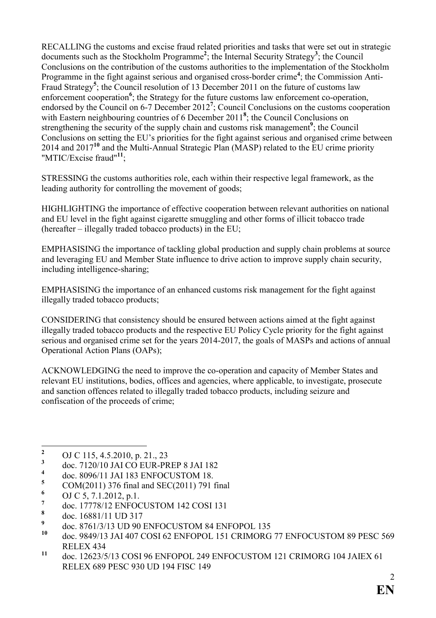RECALLING the customs and excise fraud related priorities and tasks that were set out in strategic documents such as the Stockholm Programme**<sup>2</sup>** ; the Internal Security Strategy**<sup>3</sup>** ; the Council Conclusions on the contribution of the customs authorities to the implementation of the Stockholm Programme in the fight against serious and organised cross-border crime<sup>4</sup>; the Commission Anti-Fraud Strategy**<sup>5</sup>** ; the Council resolution of 13 December 2011 on the future of customs law enforcement cooperation<sup>6</sup>; the Strategy for the future customs law enforcement co-operation, endorsed by the Council on 6-7 December 2012<sup>7</sup>; Council Conclusions on the customs cooperation with Eastern neighbouring countries of 6 December 2011<sup>8</sup>; the Council Conclusions on strengthening the security of the supply chain and customs risk management<sup>9</sup>; the Council Conclusions on setting the EU's priorities for the fight against serious and organised crime between 2014 and 2017**<sup>10</sup>** and the Multi-Annual Strategic Plan (MASP) related to the EU crime priority "MTIC/Excise fraud"**<sup>11</sup>**;

STRESSING the customs authorities role, each within their respective legal framework, as the leading authority for controlling the movement of goods;

HIGHLIGHTING the importance of effective cooperation between relevant authorities on national and EU level in the fight against cigarette smuggling and other forms of illicit tobacco trade (hereafter – illegally traded tobacco products) in the EU;

EMPHASISING the importance of tackling global production and supply chain problems at source and leveraging EU and Member State influence to drive action to improve supply chain security, including intelligence-sharing;

EMPHASISING the importance of an enhanced customs risk management for the fight against illegally traded tobacco products;

CONSIDERING that consistency should be ensured between actions aimed at the fight against illegally traded tobacco products and the respective EU Policy Cycle priority for the fight against serious and organised crime set for the years 2014-2017, the goals of MASPs and actions of annual Operational Action Plans (OAPs);

ACKNOWLEDGING the need to improve the co-operation and capacity of Member States and relevant EU institutions, bodies, offices and agencies, where applicable, to investigate, prosecute and sanction offences related to illegally traded tobacco products, including seizure and confiscation of the proceeds of crime;

 **2** OJ C 115, 4.5.2010, p. 21., 23

**<sup>3</sup>** doc. 7120/10 JAI CO EUR-PREP 8 JAI 182

**<sup>4</sup>** doc. 8096/11 JAI 183 ENFOCUSTOM 18.

**<sup>5</sup>** COM(2011) 376 final and SEC(2011) 791 final

**<sup>6</sup>** OJ C 5, 7.1.2012, p.1.

**<sup>7</sup>** doc. 17778/12 ENFOCUSTOM 142 COSI 131

**<sup>8</sup>** doc. [16881/11 UD 317](http://register.consilium.europa.eu/pdf/en/11/st16/st16881.en11.pdf) 

**<sup>9</sup>**  $^{9}$  doc. 8761/3/13 UD 90 ENFOCUSTOM 84 ENFOPOL 135

**<sup>10</sup>** doc. 9849/13 JAI 407 COSI 62 ENFOPOL 151 CRIMORG 77 ENFOCUSTOM 89 PESC 569 RELEX 434

**<sup>11</sup>** doc. 12623/5/13 COSI 96 ENFOPOL 249 ENFOCUSTOM 121 CRIMORG 104 JAIEX 61 RELEX 689 PESC 930 UD 194 FISC 149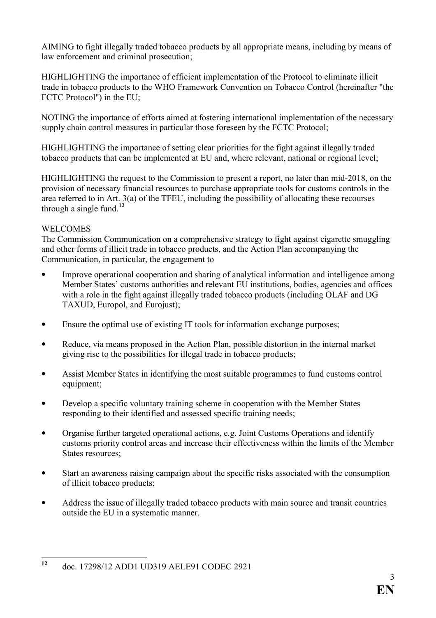AIMING to fight illegally traded tobacco products by all appropriate means, including by means of law enforcement and criminal prosecution;

HIGHLIGHTING the importance of efficient implementation of the Protocol to eliminate illicit trade in tobacco products to the WHO Framework Convention on Tobacco Control (hereinafter "the FCTC Protocol") in the EU;

NOTING the importance of efforts aimed at fostering international implementation of the necessary supply chain control measures in particular those foreseen by the FCTC Protocol;

HIGHLIGHTING the importance of setting clear priorities for the fight against illegally traded tobacco products that can be implemented at EU and, where relevant, national or regional level;

HIGHLIGHTING the request to the Commission to present a report, no later than mid-2018, on the provision of necessary financial resources to purchase appropriate tools for customs controls in the area referred to in Art. 3(a) of the TFEU, including the possibility of allocating these recourses through a single fund.**<sup>12</sup>**

## **WELCOMES**

The Commission Communication on a comprehensive strategy to fight against cigarette smuggling and other forms of illicit trade in tobacco products, and the Action Plan accompanying the Communication, in particular, the engagement to

- Improve operational cooperation and sharing of analytical information and intelligence among Member States' customs authorities and relevant EU institutions, bodies, agencies and offices with a role in the fight against illegally traded tobacco products (including OLAF and DG TAXUD, Europol, and Eurojust);
- Ensure the optimal use of existing IT tools for information exchange purposes;
- Reduce, via means proposed in the Action Plan, possible distortion in the internal market giving rise to the possibilities for illegal trade in tobacco products;
- Assist Member States in identifying the most suitable programmes to fund customs control equipment;
- Develop a specific voluntary training scheme in cooperation with the Member States responding to their identified and assessed specific training needs;
- Organise further targeted operational actions, e.g. Joint Customs Operations and identify customs priority control areas and increase their effectiveness within the limits of the Member States resources:
- Start an awareness raising campaign about the specific risks associated with the consumption of illicit tobacco products;
- Address the issue of illegally traded tobacco products with main source and transit countries outside the EU in a systematic manner.

 $12$ **<sup>12</sup>** doc. 17298/12 ADD1 UD319 AELE91 CODEC 2921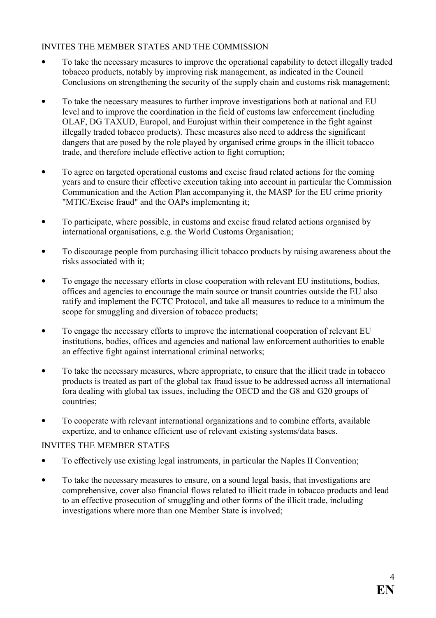# INVITES THE MEMBER STATES AND THE COMMISSION

- To take the necessary measures to improve the operational capability to detect illegally traded tobacco products, notably by improving risk management, as indicated in the Council Conclusions on strengthening the security of the supply chain and customs risk management;
- To take the necessary measures to further improve investigations both at national and EU level and to improve the coordination in the field of customs law enforcement (including OLAF, DG TAXUD, Europol, and Eurojust within their competence in the fight against illegally traded tobacco products). These measures also need to address the significant dangers that are posed by the role played by organised crime groups in the illicit tobacco trade, and therefore include effective action to fight corruption;
- To agree on targeted operational customs and excise fraud related actions for the coming years and to ensure their effective execution taking into account in particular the Commission Communication and the Action Plan accompanying it, the MASP for the EU crime priority "MTIC/Excise fraud" and the OAPs implementing it;
- To participate, where possible, in customs and excise fraud related actions organised by international organisations, e.g. the World Customs Organisation;
- To discourage people from purchasing illicit tobacco products by raising awareness about the risks associated with it;
- To engage the necessary efforts in close cooperation with relevant EU institutions, bodies, offices and agencies to encourage the main source or transit countries outside the EU also ratify and implement the FCTC Protocol, and take all measures to reduce to a minimum the scope for smuggling and diversion of tobacco products;
- To engage the necessary efforts to improve the international cooperation of relevant EU institutions, bodies, offices and agencies and national law enforcement authorities to enable an effective fight against international criminal networks;
- To take the necessary measures, where appropriate, to ensure that the illicit trade in tobacco products is treated as part of the global tax fraud issue to be addressed across all international fora dealing with global tax issues, including the OECD and the G8 and G20 groups of countries;
- To cooperate with relevant international organizations and to combine efforts, available expertize, and to enhance efficient use of relevant existing systems/data bases.

## INVITES THE MEMBER STATES

- To effectively use existing legal instruments, in particular the Naples II Convention;
- To take the necessary measures to ensure, on a sound legal basis, that investigations are comprehensive, cover also financial flows related to illicit trade in tobacco products and lead to an effective prosecution of smuggling and other forms of the illicit trade, including investigations where more than one Member State is involved;